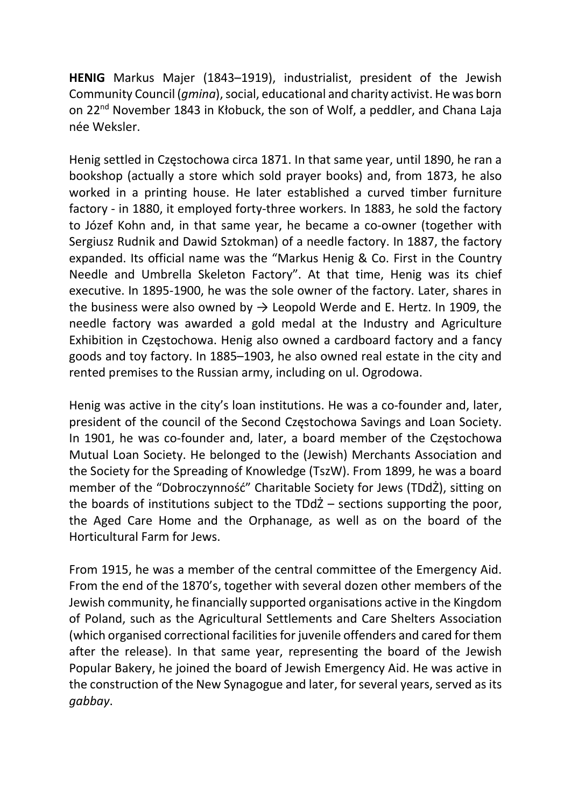HENIG Markus Majer (1843–1919), industrialist, president of the Jewish Community Council (gmina), social, educational and charity activist. He was born on 22<sup>nd</sup> November 1843 in Kłobuck, the son of Wolf, a peddler, and Chana Laja née Weksler.

Henig settled in Częstochowa circa 1871. In that same year, until 1890, he ran a bookshop (actually a store which sold prayer books) and, from 1873, he also worked in a printing house. He later established a curved timber furniture factory - in 1880, it employed forty-three workers. In 1883, he sold the factory to Józef Kohn and, in that same year, he became a co-owner (together with Sergiusz Rudnik and Dawid Sztokman) of a needle factory. In 1887, the factory expanded. Its official name was the "Markus Henig & Co. First in the Country Needle and Umbrella Skeleton Factory". At that time, Henig was its chief executive. In 1895-1900, he was the sole owner of the factory. Later, shares in the business were also owned by  $\rightarrow$  Leopold Werde and E. Hertz. In 1909, the needle factory was awarded a gold medal at the Industry and Agriculture Exhibition in Częstochowa. Henig also owned a cardboard factory and a fancy goods and toy factory. In 1885–1903, he also owned real estate in the city and rented premises to the Russian army, including on ul. Ogrodowa.

Henig was active in the city's loan institutions. He was a co-founder and, later, president of the council of the Second Częstochowa Savings and Loan Society. In 1901, he was co-founder and, later, a board member of the Częstochowa Mutual Loan Society. He belonged to the (Jewish) Merchants Association and the Society for the Spreading of Knowledge (TszW). From 1899, he was a board member of the "Dobroczynność" Charitable Society for Jews (TDdŻ), sitting on the boards of institutions subject to the TDdŻ – sections supporting the poor, the Aged Care Home and the Orphanage, as well as on the board of the Horticultural Farm for Jews.

From 1915, he was a member of the central committee of the Emergency Aid. From the end of the 1870's, together with several dozen other members of the Jewish community, he financially supported organisations active in the Kingdom of Poland, such as the Agricultural Settlements and Care Shelters Association (which organised correctional facilities for juvenile offenders and cared for them after the release). In that same year, representing the board of the Jewish Popular Bakery, he joined the board of Jewish Emergency Aid. He was active in the construction of the New Synagogue and later, for several years, served as its gabbay.